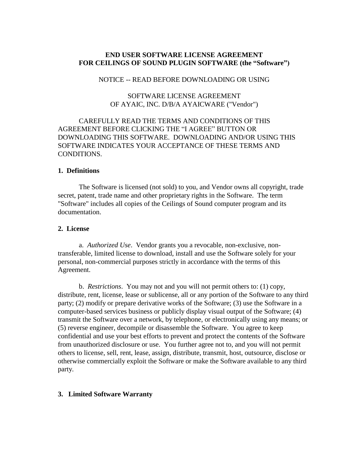## **END USER SOFTWARE LICENSE AGREEMENT FOR CEILINGS OF SOUND PLUGIN SOFTWARE (the "Software")**

#### NOTICE -- READ BEFORE DOWNLOADING OR USING

### SOFTWARE LICENSE AGREEMENT OF AYAIC, INC. D/B/A AYAICWARE ("Vendor")

# CAREFULLY READ THE TERMS AND CONDITIONS OF THIS AGREEMENT BEFORE CLICKING THE "I AGREE" BUTTON OR DOWNLOADING THIS SOFTWARE. DOWNLOADING AND/OR USING THIS SOFTWARE INDICATES YOUR ACCEPTANCE OF THESE TERMS AND CONDITIONS.

#### **1. Definitions**

The Software is licensed (not sold) to you, and Vendor owns all copyright, trade secret, patent, trade name and other proprietary rights in the Software. The term "Software" includes all copies of the Ceilings of Sound computer program and its documentation.

#### **2. License**

a. *Authorized Use*.Vendor grants you a revocable, non-exclusive, nontransferable, limited license to download, install and use the Software solely for your personal, non-commercial purposes strictly in accordance with the terms of this Agreement.

b. *Restrictions*. You may not and you will not permit others to: (1) copy, distribute, rent, license, lease or sublicense, all or any portion of the Software to any third party; (2) modify or prepare derivative works of the Software; (3) use the Software in a computer-based services business or publicly display visual output of the Software; (4) transmit the Software over a network, by telephone, or electronically using any means; or (5) reverse engineer, decompile or disassemble the Software. You agree to keep confidential and use your best efforts to prevent and protect the contents of the Software from unauthorized disclosure or use. You further agree not to, and you will not permit others to license, sell, rent, lease, assign, distribute, transmit, host, outsource, disclose or otherwise commercially exploit the Software or make the Software available to any third party.

#### **3. Limited Software Warranty**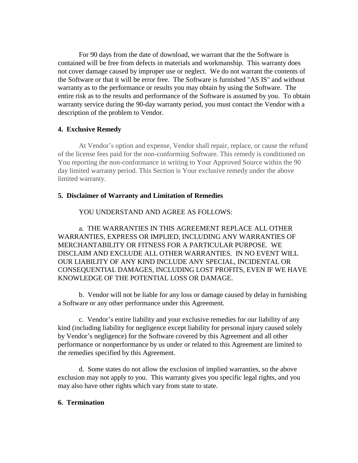For 90 days from the date of download, we warrant that the the Software is contained will be free from defects in materials and workmanship. This warranty does not cover damage caused by improper use or neglect. We do not warrant the contents of the Software or that it will be error free. The Software is furnished "AS IS" and without warranty as to the performance or results you may obtain by using the Software. The entire risk as to the results and performance of the Software is assumed by you. To obtain warranty service during the 90-day warranty period, you must contact the Vendor with a description of the problem to Vendor.

### **4. Exclusive Remedy**

At Vendor's option and expense, Vendor shall repair, replace, or cause the refund of the license fees paid for the non-conforming Software. This remedy is conditioned on You reporting the non-conformance in writing to Your Approved Source within the 90 day limited warranty period. This Section is Your exclusive remedy under the above limited warranty.

## **5. Disclaimer of Warranty and Limitation of Remedies**

YOU UNDERSTAND AND AGREE AS FOLLOWS:

a. THE WARRANTIES IN THIS AGREEMENT REPLACE ALL OTHER WARRANTIES, EXPRESS OR IMPLIED, INCLUDING ANY WARRANTIES OF MERCHANTABILITY OR FITNESS FOR A PARTICULAR PURPOSE. WE DISCLAIM AND EXCLUDE ALL OTHER WARRANTIES. IN NO EVENT WILL OUR LIABILITY OF ANY KIND INCLUDE ANY SPECIAL, INCIDENTAL OR CONSEQUENTIAL DAMAGES, INCLUDING LOST PROFITS, EVEN IF WE HAVE KNOWLEDGE OF THE POTENTIAL LOSS OR DAMAGE.

b. Vendor will not be liable for any loss or damage caused by delay in furnishing a Software or any other performance under this Agreement.

c. Vendor's entire liability and your exclusive remedies for our liability of any kind (including liability for negligence except liability for personal injury caused solely by Vendor's negligence) for the Software covered by this Agreement and all other performance or nonperformance by us under or related to this Agreement are limited to the remedies specified by this Agreement.

d. Some states do not allow the exclusion of implied warranties, so the above exclusion may not apply to you. This warranty gives you specific legal rights, and you may also have other rights which vary from state to state.

### **6. Termination**